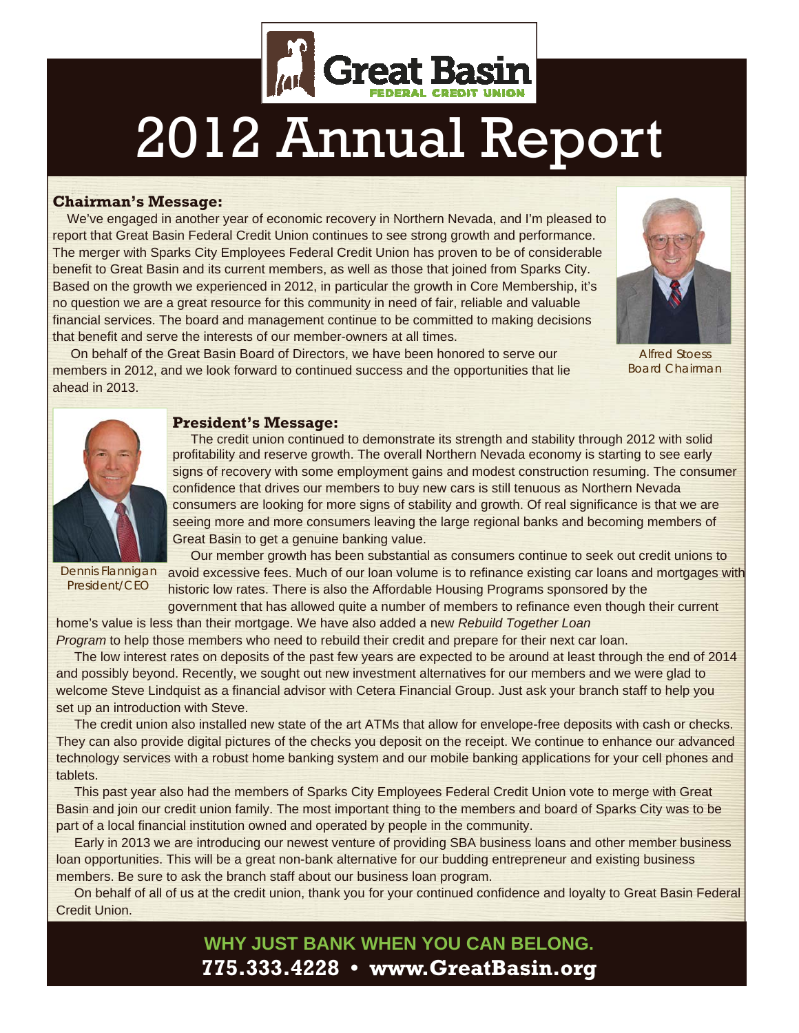

## 2012 Annual Report

#### **Chairman's Message:**

 We've engaged in another year of economic recovery in Northern Nevada, and I'm pleased to report that Great Basin Federal Credit Union continues to see strong growth and performance. The merger with Sparks City Employees Federal Credit Union has proven to be of considerable benefit to Great Basin and its current members, as well as those that joined from Sparks City. Based on the growth we experienced in 2012, in particular the growth in Core Membership, it's no question we are a great resource for this community in need of fair, reliable and valuable financial services. The board and management continue to be committed to making decisions that benefit and serve the interests of our member-owners at all times.



Alfred Stoess Board *Chairman* 

 On behalf of the Great Basin Board of Directors, we have been honored to serve our members in 2012, and we look forward to continued success and the opportunities that lie ahead in 2013.

#### **President's Message:**



 The credit union continued to demonstrate its strength and stability through 2012 with solid profitability and reserve growth. The overall Northern Nevada economy is starting to see early signs of recovery with some employment gains and modest construction resuming. The consumer confidence that drives our members to buy new cars is still tenuous as Northern Nevada consumers are looking for more signs of stability and growth. Of real significance is that we are seeing more and more consumers leaving the large regional banks and becoming members of Great Basin to get a genuine banking value.

*President/CEO* 

 Our member growth has been substantial as consumers continue to seek out credit unions to Dennis Flannigan avoid excessive fees. Much of our loan volume is to refinance existing car loans and mortgages with historic low rates. There is also the Affordable Housing Programs sponsored by the

government that has allowed quite a number of members to refinance even though their current home's value is less than their mortgage. We have also added a new *Rebuild Together Loan* 

*Program* to help those members who need to rebuild their credit and prepare for their next car loan.

 The low interest rates on deposits of the past few years are expected to be around at least through the end of 2014 and possibly beyond. Recently, we sought out new investment alternatives for our members and we were glad to welcome Steve Lindquist as a financial advisor with Cetera Financial Group. Just ask your branch staff to help you set up an introduction with Steve.

 The credit union also installed new state of the art ATMs that allow for envelope-free deposits with cash or checks. They can also provide digital pictures of the checks you deposit on the receipt. We continue to enhance our advanced technology services with a robust home banking system and our mobile banking applications for your cell phones and tablets.

 This past year also had the members of Sparks City Employees Federal Credit Union vote to merge with Great Basin and join our credit union family. The most important thing to the members and board of Sparks City was to be part of a local financial institution owned and operated by people in the community.

 Early in 2013 we are introducing our newest venture of providing SBA business loans and other member business loan opportunities. This will be a great non-bank alternative for our budding entrepreneur and existing business members. Be sure to ask the branch staff about our business loan program.

 On behalf of all of us at the credit union, thank you for your continued confidence and loyalty to Great Basin Federal Credit Union.

### **WHY JUST BANK WHEN YOU CAN BELONG. 775.333.4228 • www.GreatBasin.org**